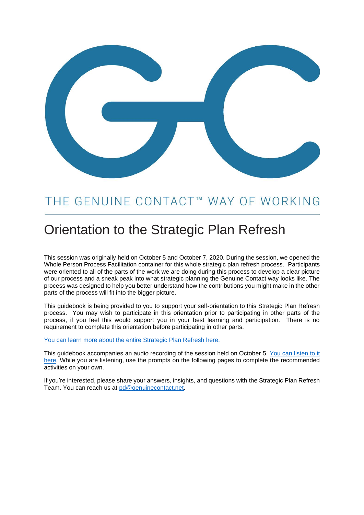

# THE GENUINE CONTACT™ WAY OF WORKING

# Orientation to the Strategic Plan Refresh

This session was originally held on October 5 and October 7, 2020. During the session, we opened the Whole Person Process Facilitation container for this whole strategic plan refresh process. Participants were oriented to all of the parts of the work we are doing during this process to develop a clear picture of our process and a sneak peak into what strategic planning the Genuine Contact way looks like. The process was designed to help you better understand how the contributions you might make in the other parts of the process will fit into the bigger picture.

This guidebook is being provided to you to support your self-orientation to this Strategic Plan Refresh process. You may wish to participate in this orientation prior to participating in other parts of the process, if you feel this would support you in your best learning and participation. There is no requirement to complete this orientation before participating in other parts.

#### [You can learn more about the entire Strategic Plan Refresh here.](https://docs.google.com/document/d/1TyTxdQpbmM1iDxUgyX_zBI6kyxhyo_1x1APF-ODO6iA/edit?usp=sharing)

This guidebook accompanies an audio recording of the session held on October 5. [You can listen to it](https://genuinecontact.net/spr2020-orientation/)  [here.](https://genuinecontact.net/spr2020-orientation/) While you are listening, use the prompts on the following pages to complete the recommended activities on your own.

If you're interested, please share your answers, insights, and questions with the Strategic Plan Refresh Team. You can reach us at [pd@genuinecontact.net.](mailto:pd@genuinecontact.net)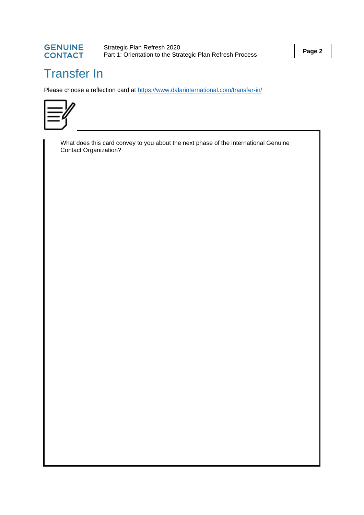

Strategic Plan Refresh 2020<br>Part 1: Orientation to the Strategic Plan Refresh Process<br>**Page 2** 

# Transfer In

Please choose a reflection card at<https://www.dalarinternational.com/transfer-in/>



What does this card convey to you about the next phase of the international Genuine Contact Organization?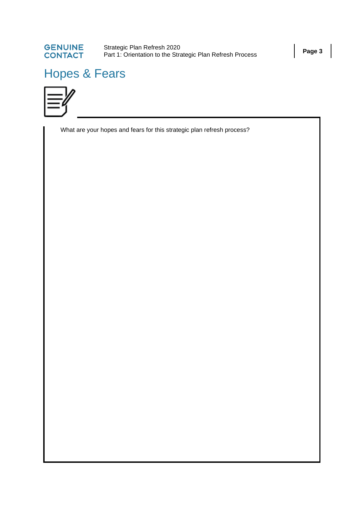

# Hopes & Fears



What are your hopes and fears for this strategic plan refresh process?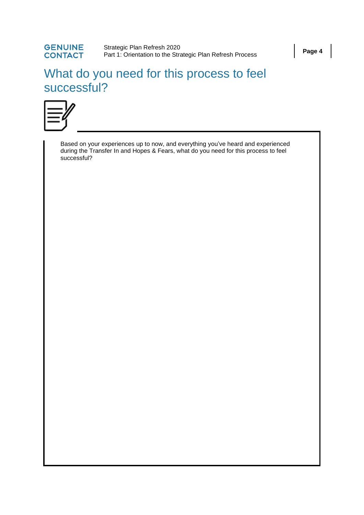#### **GENUINE** Strategic Plan Refresh 2020<br>Part 1: Orientation to the Strategic Plan Refresh Process<br>**Page 4 CONTACT**

## What do you need for this process to feel successful?



Based on your experiences up to now, and everything you've heard and experienced during the Transfer In and Hopes & Fears, what do you need for this process to feel successful?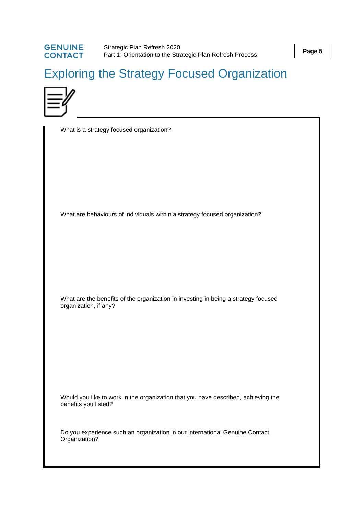## **GENUINE**<br>CONTACT Strategic Plan Refresh 2020<br>Part 1: Orientation to the Strategic Plan Refresh Process<br>**Page 5**

# Exploring the Strategy Focused Organization



|                       | What is a strategy focused organization?                                           |
|-----------------------|------------------------------------------------------------------------------------|
|                       | What are behaviours of individuals within a strategy focused organization?         |
| organization, if any? | What are the benefits of the organization in investing in being a strategy focused |
| benefits you listed?  | Would you like to work in the organization that you have described, achieving the  |
| Organization?         | Do you experience such an organization in our international Genuine Contact        |